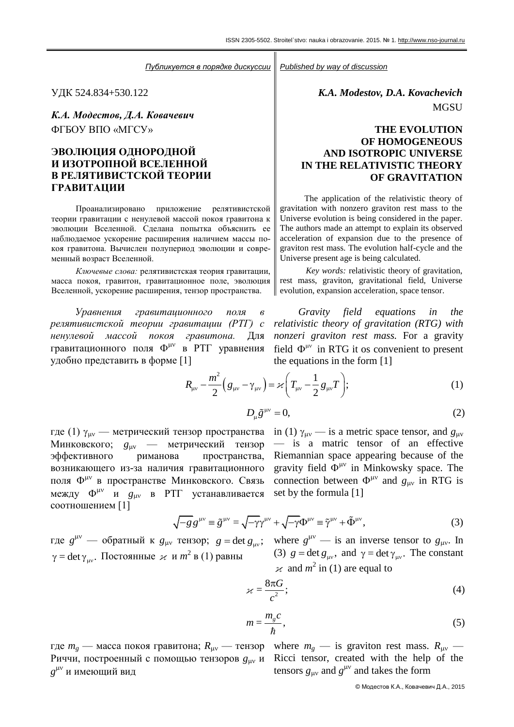#### *Публикуется в порядке дискуссии*

УДК 524.834+530.122

*К.А. Модестов, Д.А. Ковачевич* ФГБОУ ВПО «МГСУ»

# **ЭВОЛЮЦИЯ ОДНОРОДНОЙ И ИЗОТРОПНОЙ ВСЕЛЕННОЙ В РЕЛЯТИВИСТСКОЙ ТЕОРИИ ГРАВИТАЦИИ**

Проанализировано приложение релятивистской теории гравитации с ненулевой массой покоя гравитона к эволюции Вселенной. Сделана попытка объяснить ее наблюдаемое ускорение расширения наличием массы покоя гравитона. Вычислен полупериод эволюции и современный возраст Вселенной.

*Ключевые слова:* релятивистская теория гравитации, масса покоя, гравитон, гравитационное поле, эволюция Вселенной, ускорение расширения, тензор пространства.

*Уравнения гравитационного поля в релятивистской теории гравитации (РТГ) с ненулевой массой покоя гравитона.* Для гравитационного поля  $\Phi^{\mu\nu}$  в РТГ уравнения удобно представить в форме [1]

*Published by way of discussion*

*K.A. Modestov, D.A. Kovachevich* MGSU

## **THE EVOLUTION OF HOMOGENEOUS AND ISOTROPIC UNIVERSE IN THE RELATIVISTIC THEORY OF GRAVITATION**

The application of the relativistic theory of gravitation with nonzero graviton rest mass to the Universe evolution is being considered in the paper. The authors made an attempt to explain its observed acceleration of expansion due to the presence of graviton rest mass. The evolution half-cycle and the Universe present age is being calculated.

*Key words:* relativistic theory of gravitation, rest mass, graviton, gravitational field, Universe evolution, expansion acceleration, space tensor.

*Gravity field equations in the relativistic theory of gravitation (RTG) with nonzeri graviton rest mass.* For a gravity field  $\Phi^{\mu\nu}$  in RTG it os convenient to present

$$
R_{\mu\nu} - \frac{m^2}{2} \left( g_{\mu\nu} - \gamma_{\mu\nu} \right) = \varkappa \left( T_{\mu\nu} - \frac{1}{2} g_{\mu\nu} T \right); \tag{1}
$$

$$
D_{\mu}\tilde{g}^{\mu\nu} = 0,\tag{2}
$$

где (1)  $\gamma_{\mu\nu}$  — метрический тензор пространства Минковского;  $g_{uv}$  — метрический тензор эффективного риманова пространства, возникающего из-за наличия гравитационного поля Ф<sup>иν</sup> в пространстве Минковского. Связь между Ф<sup>иν</sup> и  $g_{\mu\nu}$  в РТГ устанавливается соотношением [1]

in (1)  $\gamma_{\mu\nu}$  — is a metric space tensor, and  $g_{\mu\nu}$ — is a matric tensor of an effective Riemannian space appearing because of the gravity field  $\Phi^{\mu\nu}$  in Minkowsky space. The connection between  $\Phi^{\mu\nu}$  and  $g_{\mu\nu}$  in RTG is set by the formula [1]

$$
-g g^{\mu\nu} \equiv \tilde{g}^{\mu\nu} = \sqrt{-\gamma} \gamma^{\mu\nu} + \sqrt{-\gamma} \Phi^{\mu\nu} \equiv \tilde{\gamma}^{\mu\nu} + \tilde{\Phi}^{\mu\nu}, \tag{3}
$$

где  $g^{\mu\nu}$  — обратный к  $g_{\mu\nu}$  тензор;  $g = \det g_{\mu\nu}$ ;  $\gamma =$  det  $\gamma_{\mu\nu}$ . Постоянные *и* и *m*<sup>2</sup> в (1) равны

where  $g^{\mu\nu}$  — is an inverse tensor to  $g_{\mu\nu}$ . In (3)  $g = \det g_{\mu\nu}$ , and  $\gamma = \det \gamma_{\mu\nu}$ . The constant and  $m^2$  in (1) are equal to

$$
\varkappa = \frac{8\pi G}{c^2};\tag{4}
$$

$$
m = \frac{m_s c}{\hbar},\tag{5}
$$

где  $m_g$  — масса покоя гравитона;  $R_{\mu\nu}$  — тензор Риччи, построенный с помощью тензоров  $g_{\mu\nu}$  и  $g^{\mu\nu}$  и имеющий вид

where  $m_g$  — is graviton rest mass.  $R_{\mu\nu}$  — Ricci tensor, created with the help of the tensors  $g_{\mu\nu}$  and  $g^{\mu\nu}$  and takes the form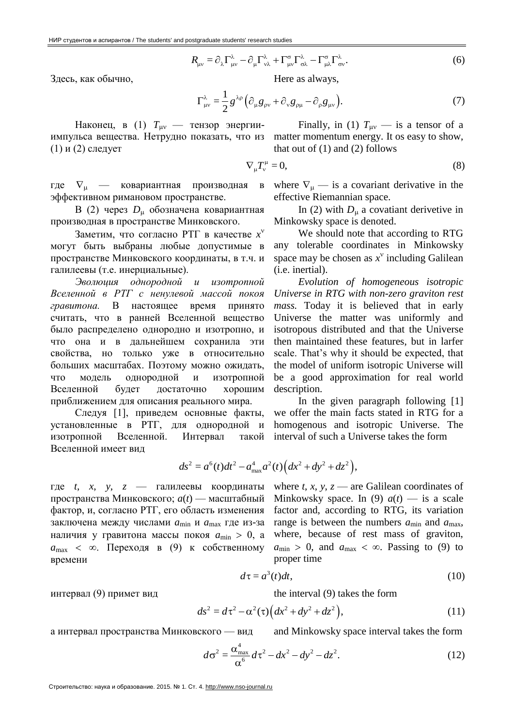$$
R_{\mu\nu} = \partial_{\lambda} \Gamma^{\lambda}_{\mu\nu} - \partial_{\mu} \Gamma^{\lambda}_{\nu\lambda} + \Gamma^{\sigma}_{\mu\nu} \Gamma^{\lambda}_{\sigma\lambda} - \Gamma^{\sigma}_{\mu\lambda} \Gamma^{\lambda}_{\sigma\nu}.
$$
 (6)

Здесь, как обычно, Here as always на не на не на не на не на не на не на не на не на не на не на не на не на н

$$
\Gamma^{\lambda}_{\mu\nu} = \frac{1}{2} g^{\lambda\rho} \left( \partial_{\mu} g_{\rho\nu} + \partial_{\nu} g_{\rho\mu} - \partial_{\rho} g_{\mu\nu} \right).
$$
 (7)

Наконец, в (1)  $T_{\mu\nu}$  — тензор энергии-<br>Finally, in (1)  $T_{\mu\nu}$  — is a tensor of a импульса вещества. Нетрудно показать, что из matter momentum energy. It os easy to show, (1) и (2) следует

that out of (1) and (2) follows 
$$
\frac{3}{2}
$$

$$
\nabla_{\mu}T_{\nu}^{\mu}=0,\tag{8}
$$

где  $\nabla_{\mu}$  — ковариантная производная в эффективном римановом пространстве.

В (2) через  $D_{\mu}$  обозначена ковариантная производная в пространстве Минковского.

Заметим, что согласно РТГ в качестве *x* могут быть выбраны любые допустимые в пространстве Минковского координаты, в т.ч. и галилеевы (т.е. инерциальные).

EXERCT:  $R_{\mu\nu} = \partial_{\mu} V_{\mu\nu} = \partial_{\mu} V_{\mu\nu} + V_{\mu\nu}^2 V_{\mu\nu} = -\partial_{\mu} V_{\mu\nu}^2 + \partial_{\mu} V_{\mu\nu}^2 = -\partial_{\mu} V_{\mu\nu}^2 + \partial_{\mu} V_{\mu\nu}^2 = -\frac{1}{2} \chi^{2/3} \left( \partial_{\mu} g_{\nu\mu} + \partial_{\nu} g_{\nu\mu} \right)$ .<br>
Harconert, **w** (1)  $T_{\mu\nu} = -\frac{1}{2} \chi^{$ *Эволюция однородной и изотропной Вселенной в РТГ с ненулевой массой покоя гравитона.* В настоящее время принято считать, что в ранней Вселенной вещество было распределено однородно и изотропно, и что она и в дальнейшем сохранила эти свойства, но только уже в относительно больших масштабах. Поэтому можно ожидать, что модель однородной и изотропной Вселенной будет достаточно хорошим приближением для описания реального мира.

Следуя [1], приведем основные факты, установленные в РТГ, для однородной и изотропной Вселенной. Интервал такой Вселенной имеет вид

$$
ds^{2} = a^{6}(t)dt^{2} - a_{\max}^{4}a^{2}(t)\left(dx^{2} + dy^{2} + dz^{2}\right),
$$

где *t*, *x*, *y*, *z* — галилеевы координаты пространства Минковского; *a*(*t*) — масштабный фактор, и, согласно РТГ, его область изменения заключена между числами *a*min и *a*max где из-за наличия у гравитона массы покоя  $a_{\min} > 0$ , а  $a_{\text{max}} < \infty$ . Переходя в (9) к собственному времени

where  $t$ ,  $x$ ,  $y$ ,  $z$  — are Galilean coordinates of Minkowsky space. In (9)  $a(t)$  — is a scale factor and, according to RTG, its variation range is between the numbers  $a_{\min}$  and  $a_{\max}$ , where, because of rest mass of graviton,  $a_{\min} > 0$ , and  $a_{\max} < \infty$ . Passing to (9) to proper time

$$
d\tau = a^3(t)dt,\t\t(10)
$$

интервал  $(9)$  примет вид the interval  $(9)$  takes the form

$$
ds2 = d\tau2 - \alpha2(\tau) (dx2 + dy2 + dz2),
$$
 (11)

а интервал пространства Минковского — вид and Minkowsky space interval takes the form

$$
d\sigma^2 = \frac{\alpha_{\text{max}}^4}{\alpha^6} d\tau^2 - dx^2 - dy^2 - dz^2.
$$
 (12)

where  $\nabla_{\mu}$  — is a covariant derivative in the effective Riemannian space.

In (2) with  $D_{\mu}$  a covatiant derivetive in Minkowsky space is denoted.

We should note that according to RTG any tolerable coordinates in Minkowsky space may be chosen as  $x^v$  including Galilean (i.e. inertial).

*Evolution of homogeneous isotropic Universe in RTG with non-zero graviton rest mass.* Today it is believed that in early Universe the matter was uniformly and isotropous distributed and that the Universe then maintained these features, but in larfer scale. That's why it should be expected, that the model of uniform isotropic Universe will be a good approximation for real world description.

In the given paragraph following [1] we offer the main facts stated in RTG for a homogenous and isotropic Universe. The interval of such a Universe takes the form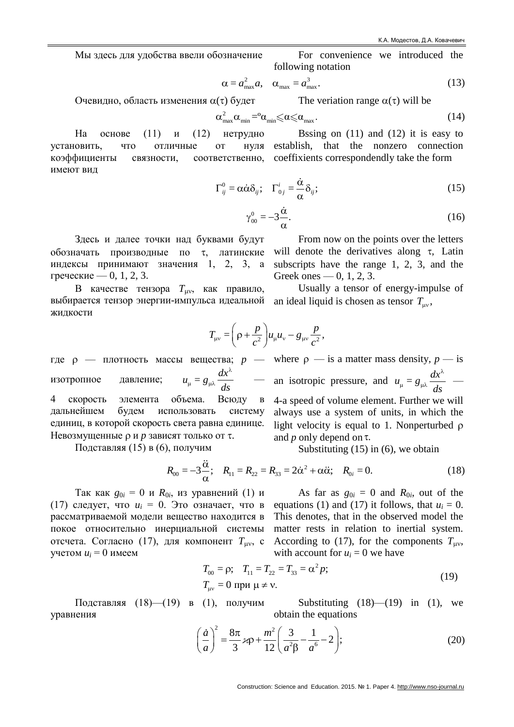Мы здесь для удобства ввели обозначение For convenience we introduced the following notation

$$
\alpha = a_{\text{max}}^2 a, \quad \alpha_{\text{max}} = a_{\text{max}}^3.
$$
 (13)

Очевидно, область изменения  $\alpha(\tau)$  будет The veriation range  $\alpha(\tau)$  will be

$$
\alpha_{\max}^2 \alpha_{\min} = \alpha_{\min} \leq \alpha \leq \alpha_{\max}.
$$
\n(14)

На основе (11) и (12) нетрудно установить, что отличные от нуля коэффициенты связности, соответственно, имеют вид

$$
\Gamma_{ij}^0 = \alpha \dot{\alpha} \delta_{ij}; \quad \Gamma_{0j}^i = \frac{\dot{\alpha}}{\alpha} \delta_{ij};
$$
\n(15)

$$
\gamma_{00}^0 = -3\frac{\dot{\alpha}}{\alpha}.\tag{16}
$$

Здесь и далее точки н обозначать производные индексы принимают значения 1, греческие — 0, 1, 2, 3.

В качестве тензора  $T_{\mu\nu}$ , как правило, выбирается тензор энергии-импульса идеальной жидкости

$$
T_{\mu\nu} = \left(\rho + \frac{p}{c^2}\right)u_{\mu}u_{\nu} - g_{\mu\nu}\frac{p}{c^2},
$$

где  $\rho$  — плотность массы вещества;  $p$  — where  $\rho$  — is a matter mass density,  $p$  — is изотропное давление;  $u_{\mu} = g_{\mu\lambda} \frac{dx}{dt}$ *ds* λ  $\mu = g_{\mu\lambda} \frac{dx}{l_{\tau}}$  -4 скорость элемента объема. Всюду в дальнейшем будем использовать систему единиц, в которой скорость света равна единице. Невозмущенные *р* и *p* зависят только от  $\tau$ . Подставляя (15) в (6), получим an isotropic pressure, and  $u_{\mu} = g_{\mu\lambda} \frac{dx}{dt}$ *ds* λ  $g_{\mu} = g_{\mu\lambda} \frac{dx}{l_{\tau}}$ 4-a speed of volume element. Further we will always use a system of units, in which the light velocity is equal to 1. Nonperturbed  $\rho$ and *p* only depend on .

Greek ones — 0, 1, 2, 3. Usually a tensor of energy-impulse of an ideal liquid is chosen as tensor  $T_{\mu\nu}$ ,

Substituting  $(15)$  in  $(6)$ , we obtain

$$
R_{00} = -3\frac{\ddot{\alpha}}{\alpha}; \quad R_{11} = R_{22} = R_{33} = 2\dot{\alpha}^2 + \alpha\ddot{\alpha}; \quad R_{0i} = 0. \tag{18}
$$

Так как *g*0*<sup>i</sup>* = 0 и *R*0*<sup>i</sup>* , из уравнений (1) и (17) следует, что *u<sup>i</sup>* = 0. Это означает, что в рассматриваемой модели вещество находится в покое относительно инерциальной системы отсчета. Согласно (17), для компонент  $T_{\mu\nu}$ , с учетом  $u_i = 0$  имеем

As far as  $g_{0i} = 0$  and  $R_{0i}$ , out of the equations (1) and (17) it follows, that  $u_i = 0$ . This denotes, that in the observed model the matter rests in relation to inertial system. According to (17), for the components  $T_{\mu\nu}$ , with account for  $u_i = 0$  we have

$$
T_{00} = \rho; \quad T_{11} = T_{22} = T_{33} = \alpha^2 p; T_{\mu\nu} = 0 \text{ при } \mu \neq \nu.
$$
 (19)

Подставляя (18)—(19) в (1), получим уравнения Substituting  $(18)$ — $(19)$  in  $(1)$ , we obtain the equations

obtain the equations  
\n
$$
\left(\frac{\dot{a}}{a}\right)^2 = \frac{8\pi}{3} \times p + \frac{m^2}{12} \left(\frac{3}{a^2 \beta} - \frac{1}{a^6} - 2\right);
$$
\n(20)

Bssing on (11) and (12) it is easy to establish, that the nonzero connection coeffixients correspondendly take the form

$$
400
$$
\n
$$
424
$$
\n
$$
434
$$
\n
$$
54
$$
\n
$$
54
$$
\n
$$
54
$$
\n
$$
54
$$
\n
$$
54
$$
\n
$$
54
$$
\n
$$
54
$$
\n
$$
54
$$
\n
$$
54
$$
\n
$$
54
$$
\n
$$
54
$$
\n
$$
54
$$
\n
$$
54
$$
\n
$$
54
$$
\n
$$
54
$$
\n
$$
54
$$
\n
$$
54
$$
\n
$$
54
$$
\n
$$
54
$$
\n
$$
54
$$
\n
$$
54
$$
\n
$$
54
$$
\n
$$
54
$$
\n
$$
54
$$
\n
$$
54
$$
\n
$$
54
$$
\n
$$
54
$$
\n
$$
54
$$
\n
$$
54
$$
\n
$$
54
$$
\n
$$
54
$$
\n
$$
54
$$
\n
$$
54
$$
\n
$$
54
$$
\n
$$
54
$$
\n
$$
54
$$
\n
$$
54
$$
\n
$$
54
$$
\n
$$
54
$$
\n
$$
54
$$
\n
$$
54
$$
\n
$$
54
$$
\n
$$
54
$$
\n
$$
54
$$
\n
$$
54
$$
\n
$$
54
$$
\n
$$
54
$$
\n
$$
54
$$
\n
$$
54
$$
\n
$$
54
$$
\n
$$
54
$$
\n
$$
54
$$
\n
$$
54
$$
\n
$$
54
$$
\n
$$
54
$$
\n
$$
54
$$
\n
$$
54
$$
\n
$$
54
$$
\n
$$
54
$$
\n
$$
54
$$
\n

 $\int_{c^2}^{P} u_\mu u_\nu - g_{\mu\nu} \frac{P}{c}$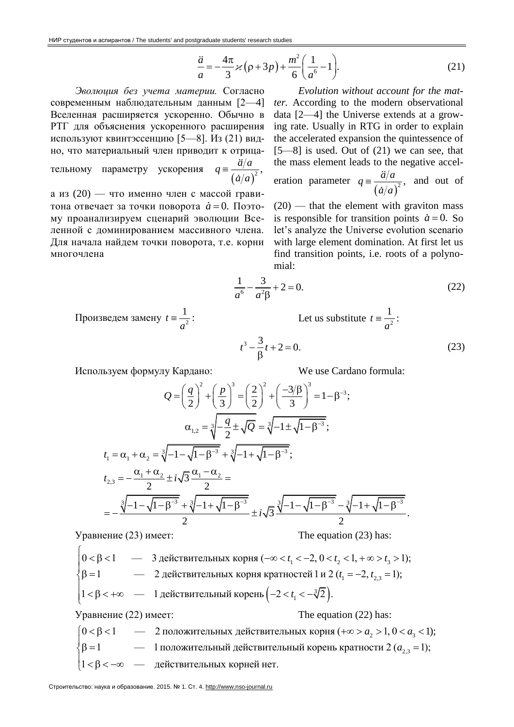$$
\frac{\ddot{a}}{a} = -\frac{4\pi}{3}\varkappa\left(\rho + 3p\right) + \frac{m^2}{6}\left(\frac{1}{a^6} - 1\right). \tag{21}
$$

Эволюция без учета материи. Согласно современным наблюдательным данным [2-4] Вселенная расширяется ускоренно. Обычно в РТГ для объяснения ускоренного расширения используют квинтэссенцию [5-8]. Из (21) видно, что материальный член приводит к отрица $q = \frac{\ddot{a}/a}{\left(\dot{a}/a\right)^2},$ тельному параметру ускорения а из (20) — что именно член с массой грави-

тона отвечает за точки поворота  $\dot{a} = 0$ . Поэтому проанализируем сценарий эволюции Вселенной с доминированием массивного члена. Для начала найдем точки поворота, т.е. корни многочлена

Evolution without account for the matter. According to the modern observational data  $[2-4]$  the Universe extends at a growing rate. Usually in RTG in order to explain the accelerated expansion the quintessence of  $[5-8]$  is used. Out of  $(21)$  we can see, that the mass element leads to the negative acceleration parameter  $q = \frac{\ddot{a}/a}{(\dot{a}/a)^2}$ , and out of

 $(20)$  — that the element with graviton mass is responsible for transition points  $\dot{a} = 0$ . So let's analyze the Universe evolution scenario with large element domination. At first let us find transition points, *i.e.* roots of a polynomial:

$$
\frac{1}{a^6} - \frac{3}{a^2 \beta} + 2 = 0.
$$
 (22)

Произведем замену  $t = \frac{1}{a^2}$ :

Let us substitute  $t = \frac{1}{a^2}$ :

Используем формулу Кардано:

We use Cardano formula:

 $(23)$ 

$$
Q = \left(\frac{q}{2}\right)^2 + \left(\frac{p}{3}\right)^3 = \left(\frac{2}{2}\right)^2 + \left(\frac{-3}{\frac{3}{2}}\right)^3 = 1 - \beta^{-3};
$$
  
\n
$$
\alpha_{1,2} = \sqrt[3]{-\frac{q}{2} \pm \sqrt{Q}} = \sqrt[3]{-1 \pm \sqrt{1-\beta^{-3}}};
$$
  
\n
$$
t_1 = \alpha_1 + \alpha_2 = \sqrt[3]{-1 - \sqrt{1-\beta^{-3}}} + \sqrt[3]{-1 + \sqrt{1-\beta^{-3}}};
$$
  
\n
$$
t_{2,3} = -\frac{\alpha_1 + \alpha_2}{2} \pm i\sqrt{3} \frac{\alpha_1 - \alpha_2}{2} =
$$
  
\n
$$
= -\frac{\sqrt[3]{-1 - \sqrt{1-\beta^{-3}}} + \sqrt[3]{-1 + \sqrt{1-\beta^{-3}}}}{2} \pm i\sqrt{3} \frac{\sqrt[3]{-1 - \sqrt{1-\beta^{-3}}}}{2} - \sqrt[3]{-1 + \sqrt{1-\beta^{-3}}}}
$$

 $t^3 - \frac{3}{\beta}t + 2 = 0.$ 

Уравнение (23) имеет:

 $\sqrt{ }$ 

The equation  $(23)$  has:

$$
\begin{cases}\n0 < \beta < 1 \quad \text{---} \quad 3 \text{ періствительных корня } ( -\infty < t_1 < -2, 0 < t_2 < 1, +\infty > t_3 > 1); \\
\beta = 1 < 2 \text{ періствительных корня кратностей } 1 \text{ и } 2 \ (t_1 = -2, t_{2,3} = 1); \\
1 < \beta < +\infty \quad \text{---} \quad 1 \text{ періствительный корень } \left( -2 < t_1 < -\sqrt[3]{2} \right).\n\end{cases}
$$
\n
$$
\begin{cases}\n0 < \beta < 1 \quad \text{---} \quad 2 \text{ положительных действительных корня } (+\infty > a_2 > 1, 0 < a_3 < 1); \\
\beta = 1 < 1 \quad \text{---} \quad 1 \text{ положительный действительный корень кратности } 2 \ (a_{2,3} = 1); \\
1 < \beta < -\infty \quad \text{---} \quad \text{действительных корней нет.}\n\end{cases}
$$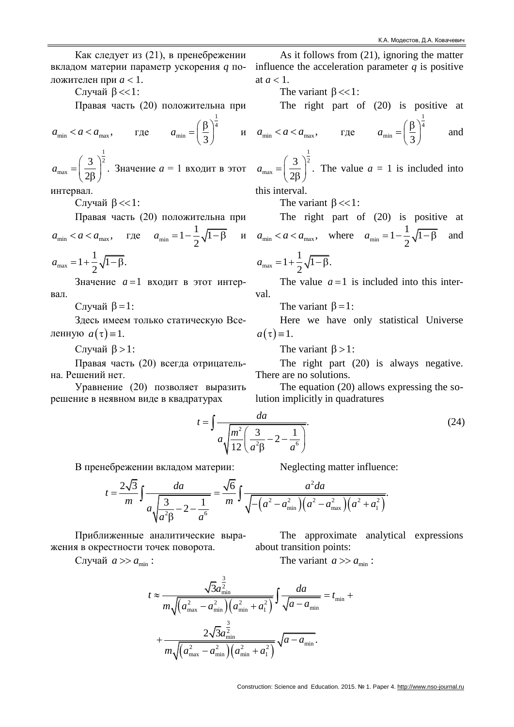Как следует из (21), в пренебрежении вкладом материи параметр ускорения *q* положителен при  $a < 1$ .

Cлучай  $\beta$  << 1:

Правая часть (20) положительна при

$$
a_{\min} < a < a_{\max}
$$
, \t $\text{rge}$  \t $a_{\min} = \left(\frac{\beta}{3}\right)^{\frac{1}{4}}$  \t $\text{mge}$ 

$$
a_{\text{max}} = \left(\frac{3}{2\beta}\right)^{\frac{1}{2}}.
$$
 3  
Haq = 1  
 b xoq

интервал.

Cлучай  $\beta \ll 1$ :

Правая часть (20) положительна при

$$
a_{\min} < a < a_{\max}
$$
, r,  
 $a_{\min} = 1 - \frac{1}{2} \sqrt{1 - \beta}$  u  
 $a_{\max} = 1 + \frac{1}{2} \sqrt{1 - \beta}$ .

Значение *a* =1 входит в этот интервал.

Случай  $\beta = 1$ :

Здесь имеем только статическую Вселенную  $a(\tau) \equiv 1$ .

Cлучай  $\beta > 1$ :

Правая часть (20) всегда отрицательна. Решений нет.

Уравнение (20) позволяет выразить решение в неявном виде в квадратурах

As it follows from (21), ignoring the matter influence the acceleration parameter  $q$  is positive at  $a < 1$ .

The variant  $\beta \ll 1$ :

The right part of (20) is positive at 1 and

$$
a_{\min} < a < a_{\max}, \qquad \text{rge} \qquad a_{\min} = \left(\frac{\beta}{3}\right)^4
$$

2 max  $\left(\frac{3}{2}\right)^2$ . 2  $a_{\text{max}} = \left(\frac{3}{28}\right)$  $(2\beta)$ The value  $a = 1$  is included into this interval.

The variant  $\beta \ll 1$ :

The right part of (20) is positive at  $a_{\min} < a < a_{\max}$ , where  $a_{\min}$  $1 - \frac{1}{2} \sqrt{1}$ 2  $a_{\min} = 1 - \frac{1}{2} \sqrt{1 - \beta}$ and max  $1 + \frac{1}{2} \sqrt{1 - \beta}$ . 2  $a_{\text{max}} = 1 + \frac{1}{2} \sqrt{1 - \beta}$ .

The value  $a = 1$  is included into this interval.

The variant  $\beta = 1$ :

Here we have only statistical Universe  $a(\tau) \equiv 1$ .

The variant  $\beta > 1$ :

The right part (20) is always negative. There are no solutions.

The equation (20) allows expressing the solution implicitly in quadratures

$$
= \int \frac{da}{a\sqrt{\frac{m^2}{12} \left(\frac{3}{a^2\beta} - 2 - \frac{1}{a^6}\right)}}.
$$
 (24)

В пренебрежении вкладом материи: Neglecting matter influence:

*t*

$$
\sqrt[n]{12 \left(a^2 \beta \frac{a^6}{a^6}\right)}
$$
\n
$$
t = \frac{2\sqrt{3}}{m} \int \frac{da}{a\sqrt{\frac{3}{a^2 \beta} - 2 - \frac{1}{a^6}}} = \frac{\sqrt{6}}{m} \int \frac{a^2 da}{\sqrt{-\left(a^2 - a_{\min}^2\right)\left(a^2 - a_{\max}^2\right)\left(a^2 + a_1^2\right)}}.
$$

Приближенные аналитические выражения в окрестности точек поворота.

Случай  $a \gg a_{\min}$ :

The approximate analytical expressions about transition points:

The variant  $a \gg a_{\min}$ :

$$
t \approx \frac{\sqrt{3}a_{\min}^{\frac{3}{2}}}{m\sqrt{(a_{\max}^2 - a_{\min}^2)\left(a_{\min}^2 + a_1^2\right)}} \int \frac{da}{\sqrt{a - a_{\min}}} = t_{\min} + t_{\min}
$$

$$
+ \frac{2\sqrt{3}a_{\min}^{\frac{3}{2}}}{m\sqrt{(a_{\max}^2 - a_{\min}^2)\left(a_{\min}^2 + a_1^2\right)}} \sqrt{a - a_{\min}}.
$$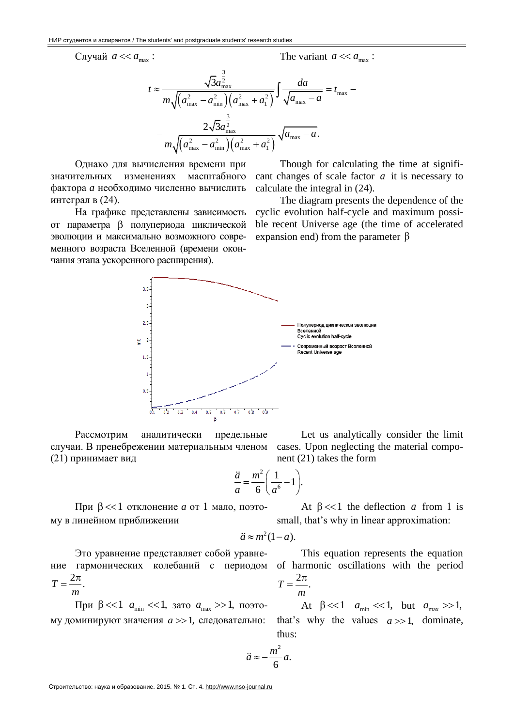Случай  $a \ll a_{\text{max}}$ :

The variant  $a \ll a_{\text{max}}$ :

$$
t \approx \frac{\sqrt{3}a_{\max}^{\frac{3}{2}}}{m\sqrt{(a_{\max}^2 - a_{\min}^2)(a_{\max}^2 + a_1^2)}} \int \frac{da}{\sqrt{a_{\max} - a}} = t_{\max} - \frac{2\sqrt{3}a_{\max}^{\frac{3}{2}}}{m\sqrt{(a_{\max}^2 - a_{\min}^2)(a_{\max}^2 + a_1^2)}} \sqrt{a_{\max} - a}.
$$

Однако для вычисления времени при масштабного значительных изменениях фактора а необходимо численно вычислить интеграл в (24).

На графике представлены зависимость от параметра В полупериода циклической эволюции и максимально возможного современного возраста Вселенной (времени окончания этапа ускоренного расширения).

Though for calculating the time at significant changes of scale factor  $a$  it is necessary to calculate the integral in (24).

The diagram presents the dependence of the cyclic evolution half-cycle and maximum possible recent Universe age (the time of accelerated expansion end) from the parameter  $\beta$ 



Рассмотрим аналитически предельные случаи. В пренебрежении материальным членом (21) принимает вид

$$
\frac{\ddot{a}}{a} = \frac{m^2}{6} \bigg( \frac{1}{a^6} - 1 \bigg).
$$

При  $\beta \ll 1$  отклонение *а* от 1 мало, поэтому в линейном приближении

At  $\beta \ll 1$  the deflection a from 1 is small, that's why in linear approximation:

This equation represents the equation

cases. Upon neglecting the material compo-

nent  $(21)$  takes the form

$$
\ddot{a} \approx m^2(1-a).
$$

Это уравнение представляет собой уравнение гармонических колебаний с периодом  $T = \frac{2\pi}{m}$ 

При  $\beta \ll 1$   $a_{\min} \ll 1$ , зато  $a_{\max} \gg 1$ , поэтому доминируют значения  $a \gg 1$ , следовательно:

of harmonic oscillations with the period 
$$
T = \frac{2\pi}{m}
$$
.

At  $\beta \ll 1$   $a_{\min} \ll 1$ , but  $a_{\max} \gg 1$ , that's why the values  $a \gg 1$ , dominate, thus:

$$
\ddot{a} \approx -\frac{m^2}{6}a
$$

Строительство: наука и образование. 2015. № 1. Ст. 4. http://www.nso-journal.ru